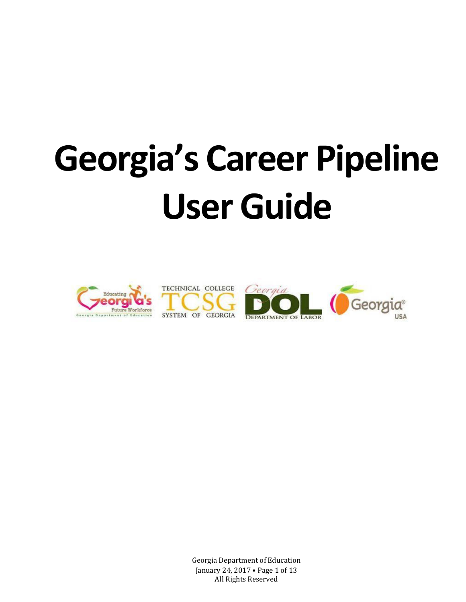# **Georgia's Career Pipeline User Guide**



Georgia Department of Education January 24, 2017 • Page 1 of 13 All Rights Reserved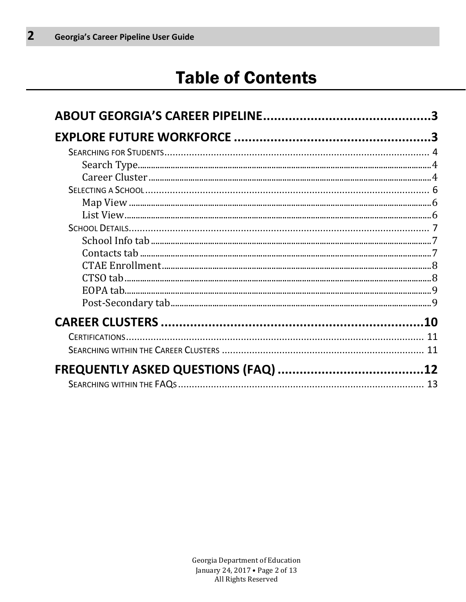# **Table of Contents**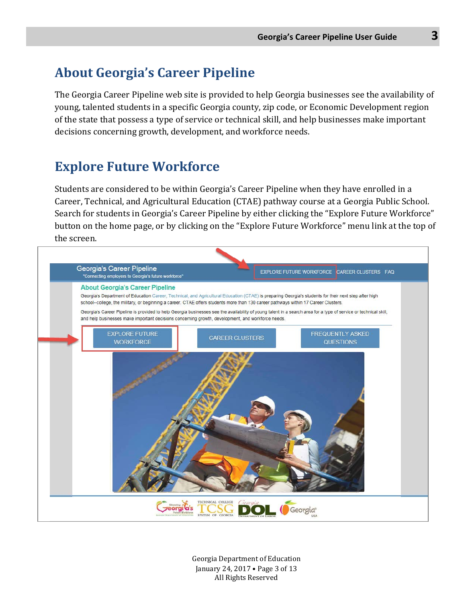# <span id="page-2-0"></span>**About Georgia's Career Pipeline**

The Georgia Career Pipeline web site is provided to help Georgia businesses see the availability of young, talented students in a specific Georgia county, zip code, or Economic Development region of the state that possess a type of service or technical skill, and help businesses make important decisions concerning growth, development, and workforce needs.

# <span id="page-2-1"></span>**Explore Future Workforce**

Students are considered to be within Georgia's Career Pipeline when they have enrolled in a Career, Technical, and Agricultural Education (CTAE) pathway course at a Georgia Public School. Search for students in Georgia's Career Pipeline by either clicking the "Explore Future Workforce" button on the home page, or by clicking on the "Explore Future Workforce" menu link at the top of the screen.



Georgia Department of Education January 24, 2017 • Page 3 of 13 All Rights Reserved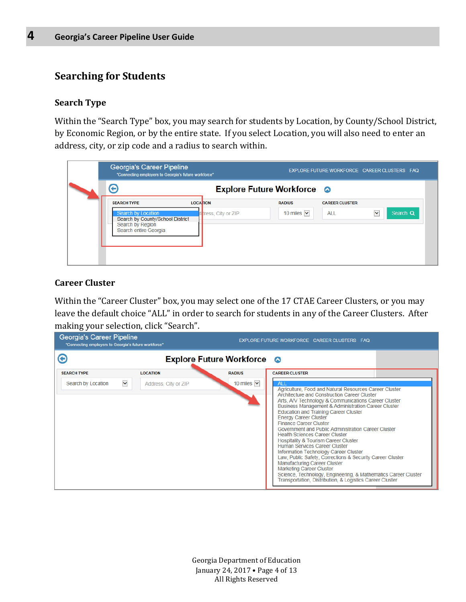#### <span id="page-3-0"></span>**Searching for Students**

#### <span id="page-3-1"></span>**Search Type**

Within the "Search Type" box, you may search for students by Location, by County/School District, by Economic Region, or by the entire state. If you select Location, you will also need to enter an address, city, or zip code and a radius to search within.

| Georgia's Career Pipeline                                                                           | "Connecting employers to Georgia's future workforce" |                                   |                       | EXPLORE FUTURE WORKFORCE CAREER CLUSTERS FAQ |
|-----------------------------------------------------------------------------------------------------|------------------------------------------------------|-----------------------------------|-----------------------|----------------------------------------------|
| ⇔                                                                                                   |                                                      | <b>Explore Future Workforce ©</b> |                       |                                              |
| <b>SEARCH TYPE</b>                                                                                  | <b>LOCATION</b>                                      | <b>RADIUS</b>                     | <b>CAREER CLUSTER</b> |                                              |
| Search by Location<br>Search by County/School District<br>Search by Region<br>Search entire Georgia | didress, City or ZIP                                 | 10 miles $\vert \mathbf{v} \vert$ | <b>ALL</b>            | $\checkmark$<br>Search Q                     |

#### <span id="page-3-2"></span>**Career Cluster**

Within the "Career Cluster" box, you may select one of the 17 CTAE Career Clusters, or you may leave the default choice "ALL" in order to search for students in any of the Career Clusters. After making your selection, click "Search".

| Georgia's Career Pipeline<br>"Connecting employers to Georgia's future workforce" |                      |                                   | EXPLORE FUTURE WORKFORCE CAREER CLUSTERS FAQ                                                                                                                                                                                                                                                                                                                                                                                                                                                                                                                                                                                                                                                                                                                                                                                                    |
|-----------------------------------------------------------------------------------|----------------------|-----------------------------------|-------------------------------------------------------------------------------------------------------------------------------------------------------------------------------------------------------------------------------------------------------------------------------------------------------------------------------------------------------------------------------------------------------------------------------------------------------------------------------------------------------------------------------------------------------------------------------------------------------------------------------------------------------------------------------------------------------------------------------------------------------------------------------------------------------------------------------------------------|
| O                                                                                 |                      | <b>Explore Future Workforce ©</b> |                                                                                                                                                                                                                                                                                                                                                                                                                                                                                                                                                                                                                                                                                                                                                                                                                                                 |
| <b>SEARCH TYPE</b>                                                                | <b>LOCATION</b>      | <b>RADIUS</b>                     | <b>CAREER CLUSTER</b>                                                                                                                                                                                                                                                                                                                                                                                                                                                                                                                                                                                                                                                                                                                                                                                                                           |
| $\checkmark$<br>Search by Location                                                | Address, City or ZIP | 10 miles $ $                      | <b>ALL</b><br>Agriculture, Food and Natural Resources Career Cluster<br>Architecture and Construction Career Cluster<br>Arts, A/V Technology & Communications Career Cluster<br><b>Business Management &amp; Administration Career Cluster</b><br><b>Education and Training Career Cluster</b><br><b>Energy Career Cluster</b><br><b>Finance Career Cluster</b><br>Government and Public Administration Career Cluster<br><b>Health Sciences Career Cluster</b><br>Hospitality & Tourism Career Cluster<br>Human Services Career Cluster<br>Information Technology Career Cluster<br>Law, Public Safety, Corrections & Security Career Cluster<br>Manufacturing Career Cluster<br><b>Marketing Career Cluster</b><br>Science, Technology, Engineering, & Mathematics Career Cluster<br>Transportation, Distribution, & Logistics Career Cluster |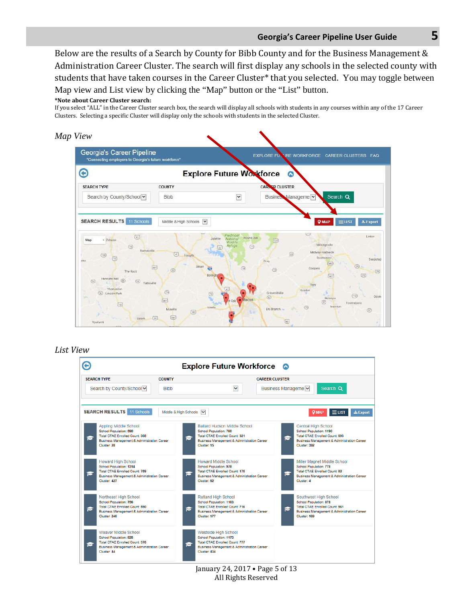#### **Georgia's Career Pipeline User Guide 5**

Below are the results of a Search by County for Bibb County and for the Business Management & Administration Career Cluster. The search will first display any schools in the selected county with students that have taken courses in the Career Cluster\* that you selected. You may toggle between Map view and List view by clicking the "Map" button or the "List" button.

#### **\*Note about Career Cluster search:**

If you select "ALL" in the Career Cluster search box, the search will display all schools with students in any courses within any of the 17 Career Clusters. Selecting a specific Cluster will display only the schools with students in the selected Cluster.



#### *List View*

|                                                                                                                                                         |                       | <b>Explore Future Workforce</b> ●                                                                                                                                  |                                                                                                                                                                    |
|---------------------------------------------------------------------------------------------------------------------------------------------------------|-----------------------|--------------------------------------------------------------------------------------------------------------------------------------------------------------------|--------------------------------------------------------------------------------------------------------------------------------------------------------------------|
| <b>SFARCH TYPE</b>                                                                                                                                      | <b>COUNTY</b>         |                                                                                                                                                                    | <b>CAREER CLUSTER</b>                                                                                                                                              |
| Search by County/School v                                                                                                                               | <b>Bibb</b>           | $\checkmark$                                                                                                                                                       | Search Q<br>Business Manageme                                                                                                                                      |
| <b>SEARCH RESULTS</b> 11 Schools                                                                                                                        | Middle & High Schools | $\overline{\mathbf{v}}$                                                                                                                                            | $\pm$ Export<br><b>Q MAP</b><br>$\equiv$ LIST                                                                                                                      |
| Appling Middle School<br>School Population: 590<br>Total CTAE Enrolled Count: 308<br>Business Management & Administration Career<br>Cluster: 28         |                       | Ballard Hudson Middle School<br>School Population: 780<br><b>Total CTAE Enrolled Count: 321</b><br>ь<br>Business Management & Administration Career<br>Cluster: 15 | <b>Central High School</b><br>School Population: 1190<br><b>Total CTAE Enrolled Count: 693</b><br>e<br>Business Management & Administration Career<br>Cluster: 392 |
| <b>Howard High School</b><br>School Population: 1314<br>Total CTAE Enrolled Count: 759<br>Business Management & Administration Career<br>Cluster: 427   |                       | Howard Middle School<br>School Population: 978<br><b>Total CTAE Enrolled Count: 175</b><br>e<br>Business Management & Administration Career<br>Cluster: 62         | Miller Magnet Middle School<br>School Population: 778<br><b>Total CTAE Enrolled Count: 82</b><br>G<br>Business Management & Administration Career<br>Cluster: 4    |
| Northeast High School<br>School Population: 756<br><b>Total CTAE Enrolled Count: 590</b><br>Business Management & Administration Career<br>Cluster: 248 |                       | <b>Rutland High School</b><br>School Population: 1103<br><b>Total CTAE Enrolled Count: 716</b><br>e<br>Business Management & Administration Career<br>Cluster: 177 | Southwest High School<br>School Population: 878<br><b>Total CTAE Enrolled Count: 561</b><br>G<br>Business Management & Administration Career<br>Cluster: 169       |
| Weaver Middle School<br>School Population: 825<br><b>Total CTAE Enrolled Count: 378</b><br>Business Management & Administration Career<br>Cluster: 44   |                       | <b>Westside High School</b><br>School Population: 1173<br>Total CTAE Enrolled Count: 777<br>e<br>Business Management & Administration Career<br>Cluster: 434       |                                                                                                                                                                    |

January 24, 2017 • Page 5 of 13 All Rights Reserved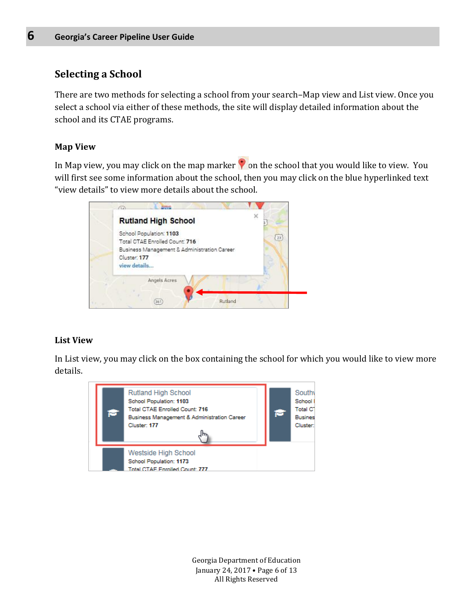#### <span id="page-5-0"></span>**Selecting a School**

There are two methods for selecting a school from your search–Map view and List view. Once you select a school via either of these methods, the site will display detailed information about the school and its CTAE programs.

#### <span id="page-5-1"></span>**Map View**

In Map view, you may click on the map marker  $\bullet$  on the school that you would like to view. You will first see some information about the school, then you may click on the blue hyperlinked text "view details" to view more details about the school.



#### <span id="page-5-2"></span>**List View**

In List view, you may click on the box containing the school for which you would like to view more details.



Georgia Department of Education January 24, 2017 • Page 6 of 13 All Rights Reserved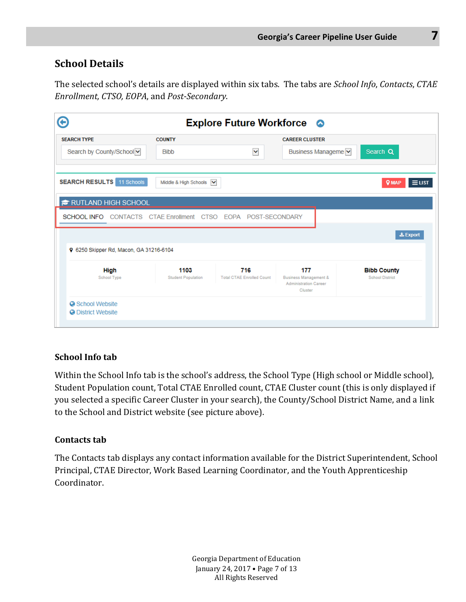#### <span id="page-6-0"></span>**School Details**

The selected school's details are displayed within six tabs. The tabs are *School Info*, *Contacts*, *CTAE Enrollment, CTSO, EOPA*, and *Post-Secondary*.

| <b>SEARCH TYPE</b>                                            | <b>COUNTY</b>                     |                                         | <b>CAREER CLUSTER</b>                   |                                              |
|---------------------------------------------------------------|-----------------------------------|-----------------------------------------|-----------------------------------------|----------------------------------------------|
| Search by County/School                                       | <b>Bibb</b>                       | Y                                       | Business Manageme                       | Search Q                                     |
| <b>SEARCH RESULTS</b> 11 Schools                              | Middle & High Schools V           |                                         |                                         | $\equiv$ LIST<br><b>Q MAP</b>                |
| <b>TO RUTLAND HIGH SCHOOL</b>                                 |                                   |                                         |                                         |                                              |
| SCHOOL INFO CONTACTS CTAE Enrollment CTSO EOPA POST-SECONDARY |                                   |                                         |                                         |                                              |
|                                                               |                                   |                                         |                                         | $\pm$ Export                                 |
| 9 6250 Skipper Rd, Macon, GA 31216-6104                       |                                   |                                         |                                         |                                              |
|                                                               | 1103<br><b>Student Population</b> | 716<br><b>Total CTAE Enrolled Count</b> | 177<br><b>Business Management &amp;</b> | <b>Bibb County</b><br><b>School District</b> |

#### <span id="page-6-1"></span>**School Info tab**

Within the School Info tab is the school's address, the School Type (High school or Middle school), Student Population count, Total CTAE Enrolled count, CTAE Cluster count (this is only displayed if you selected a specific Career Cluster in your search), the County/School District Name, and a link to the School and District website (see picture above).

#### <span id="page-6-2"></span>**Contacts tab**

The Contacts tab displays any contact information available for the District Superintendent, School Principal, CTAE Director, Work Based Learning Coordinator, and the Youth Apprenticeship Coordinator.

> Georgia Department of Education January 24, 2017 • Page 7 of 13 All Rights Reserved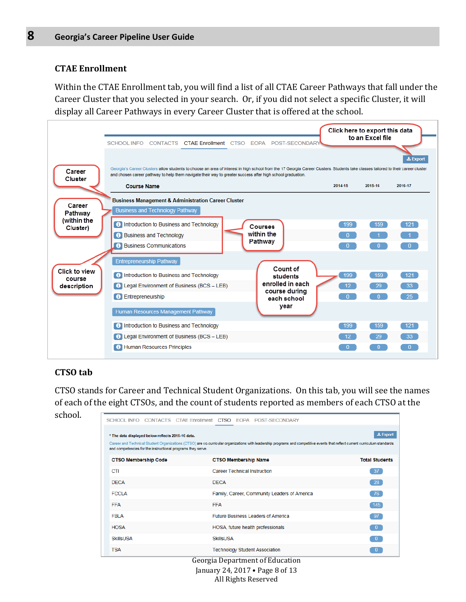#### <span id="page-7-0"></span>**CTAE Enrollment**

Within the CTAE Enrollment tab, you will find a list of all CTAE Career Pathways that fall under the Career Cluster that you selected in your search. Or, if you did not select a specific Cluster, it will display all Career Pathways in every Career Cluster that is offered at the school.



#### <span id="page-7-1"></span>**CTSO tab**

CTSO stands for Career and Technical Student Organizations. On this tab, you will see the names of each of the eight CTSOs, and the count of students reported as members of each CTSO at the school.

|                                                                                                                  |  |                                     | SCHOOL INFO CONTACTS CTAE Enrollment CTSO EOPA POST-SECONDARY                                                                                                               |  |                       |
|------------------------------------------------------------------------------------------------------------------|--|-------------------------------------|-----------------------------------------------------------------------------------------------------------------------------------------------------------------------------|--|-----------------------|
| * The data displayed below reflects 2015-16 data.<br>and competencies for the instructional programs they serve. |  |                                     | Career and Technical Student Organizations (CTSO) are co-curricular organizations with leadership programs and competitive events that reflect current curriculum standards |  | $±$ Export            |
| <b>CTSO Membership Code</b>                                                                                      |  | <b>CTSO Membership Name</b>         |                                                                                                                                                                             |  | <b>Total Students</b> |
| CTI                                                                                                              |  | <b>Career Technical Instruction</b> |                                                                                                                                                                             |  | 37 <sup>2</sup>       |
| <b>DECA</b>                                                                                                      |  | <b>DECA</b>                         |                                                                                                                                                                             |  | 28                    |
| <b>FCCLA</b>                                                                                                     |  |                                     | Family, Career, Community Leaders of America                                                                                                                                |  | 76                    |
| <b>FFA</b>                                                                                                       |  | <b>FFA</b>                          |                                                                                                                                                                             |  | $145$                 |
| <b>FBLA</b>                                                                                                      |  |                                     | <b>Future Business Leaders of America</b>                                                                                                                                   |  | 97                    |
| <b>HOSA</b>                                                                                                      |  |                                     | HOSA, future health professionals                                                                                                                                           |  | $\overline{0}$        |
| <b>SkillsUSA</b>                                                                                                 |  | <b>SkillsUSA</b>                    |                                                                                                                                                                             |  | $\overline{0}$        |
| <b>TSA</b>                                                                                                       |  |                                     | <b>Technology Student Association</b>                                                                                                                                       |  | $\mathbf{0}$          |
|                                                                                                                  |  |                                     | Georgia Department of Education<br>January 24, 2017 • Page 8 of 13                                                                                                          |  |                       |

All Rights Reserved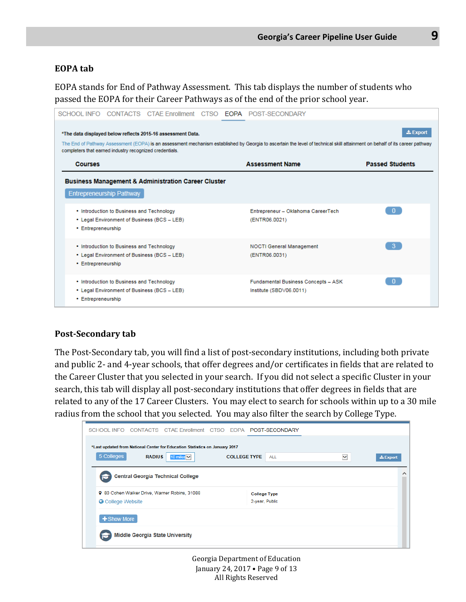#### <span id="page-8-0"></span>**EOPA tab**

EOPA stands for End of Pathway Assessment. This tab displays the number of students who passed the EOPA for their Career Pathways as of the end of the prior school year.

| SCHOOL INFO                                             |                                           |                                                                |  | CONTACTS CTAE Enrollment CTSO <b>EOPA</b> POST-SECONDARY                                                                                                                    |                        |
|---------------------------------------------------------|-------------------------------------------|----------------------------------------------------------------|--|-----------------------------------------------------------------------------------------------------------------------------------------------------------------------------|------------------------|
|                                                         |                                           | *The data displayed below reflects 2015-16 assessment Data.    |  |                                                                                                                                                                             | $\pm$ Export           |
| completers that earned industry recognized credentials. |                                           |                                                                |  | The End of Pathway Assessment (EOPA) is an assessment mechanism established by Georgia to ascertain the level of technical skill attainment on behalf of its career pathway |                        |
| <b>Courses</b>                                          |                                           |                                                                |  | <b>Assessment Name</b>                                                                                                                                                      | <b>Passed Students</b> |
|                                                         | <b>Entrepreneurship Pathway</b>           | <b>Business Management &amp; Administration Career Cluster</b> |  |                                                                                                                                                                             |                        |
| • Entrepreneurship                                      | • Introduction to Business and Technology | • Legal Environment of Business (BCS - LEB)                    |  | Entrepreneur - Oklahoma CareerTech<br>(ENTR06.0021)                                                                                                                         | $\mathbf{0}$           |
| • Entrepreneurship                                      | • Introduction to Business and Technology | • Legal Environment of Business (BCS - LEB)                    |  | <b>NOCTI General Management</b><br>(ENTR06.0031)                                                                                                                            | $-3$                   |
| • Entrepreneurship                                      | • Introduction to Business and Technology | • Legal Environment of Business (BCS - LEB)                    |  | Fundamental Business Concepts - ASK<br>Institute (SBDV06.0011)                                                                                                              | $\Omega$               |

#### <span id="page-8-1"></span>**Post-Secondary tab**

The Post-Secondary tab, you will find a list of post-secondary institutions, including both private and public 2- and 4-year schools, that offer degrees and/or certificates in fields that are related to the Career Cluster that you selected in your search. If you did not select a specific Cluster in your search, this tab will display all post-secondary institutions that offer degrees in fields that are related to any of the 17 Career Clusters. You may elect to search for schools within up to a 30 mile radius from the school that you selected. You may also filter the search by College Type.

| $\pm$ Export |
|--------------|
| ◠            |
|              |
|              |
|              |
|              |
|              |

Georgia Department of Education January 24, 2017 • Page 9 of 13 All Rights Reserved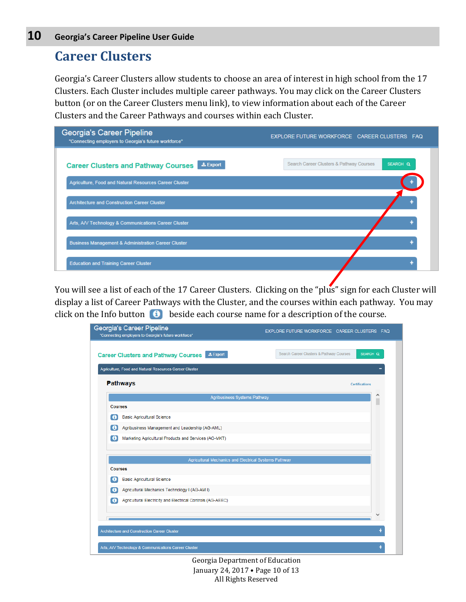### <span id="page-9-0"></span>**Career Clusters**

Georgia's Career Clusters allow students to choose an area of interest in high school from the 17 Clusters. Each Cluster includes multiple career pathways. You may click on the Career Clusters button (or on the Career Clusters menu link), to view information about each of the Career Clusters and the Career Pathways and courses within each Cluster.

| Georgia's Career Pipeline<br>"Connecting employers to Georgia's future workforce" | EXPLORE FUTURE WORKFORCE CAREER CLUSTERS FAQ         |
|-----------------------------------------------------------------------------------|------------------------------------------------------|
| $\pm$ Export<br><b>Career Clusters and Pathway Courses</b>                        | Search Career Clusters & Pathway Courses<br>SEARCH Q |
| Agriculture, Food and Natural Resources Career Cluster                            |                                                      |
| Architecture and Construction Career Cluster                                      |                                                      |
| Arts, A/V Technology & Communications Career Cluster                              |                                                      |
| <b>Business Management &amp; Administration Career Cluster</b>                    |                                                      |
| <b>Education and Training Career Cluster</b>                                      |                                                      |

You will see a list of each of the 17 Career Clusters. Clicking on the "plus" sign for each Cluster will display a list of Career Pathways with the Cluster, and the courses within each pathway. You may click on the Info button  $\Theta$  beside each course name for a description of the course.

|                | Georgia's Career Pipeline<br>"Connecting employers to Georgia's future workforce" | EXPLORE FUTURE WORKFORCE CAREER CLUSTERS FAQ                    |
|----------------|-----------------------------------------------------------------------------------|-----------------------------------------------------------------|
|                | $\pm$ Export<br><b>Career Clusters and Pathway Courses</b>                        | Search Career Clusters & Pathway Courses<br>SEARCH <sub>Q</sub> |
|                | Agriculture, Food and Natural Resources Career Cluster                            |                                                                 |
|                | <b>Pathways</b>                                                                   | <b>Certifications</b>                                           |
|                | <b>Agribusiness Systems Pathway</b>                                               |                                                                 |
| <b>Courses</b> |                                                                                   |                                                                 |
| ⊕              | <b>Basic Agricultural Science</b>                                                 |                                                                 |
| $\bullet$      | Agribusiness Management and Leadership (AG-AML)                                   |                                                                 |
| $\bullet$      | Marketing Agricultural Products and Services (AG-MKT)                             |                                                                 |
|                | Agricultural Mechanics and Electrical Systems Pathway                             |                                                                 |
| <b>Courses</b> |                                                                                   |                                                                 |
| ø              | <b>Basic Agricultural Science</b>                                                 |                                                                 |
| ø              | Agricultural Mechanics Technology I (AG-AM I)                                     |                                                                 |
| $\bullet$      | Agricultural Electricity and Electrical Controls (AG-AEEC)                        |                                                                 |
|                |                                                                                   |                                                                 |
|                |                                                                                   |                                                                 |
|                | <b>Architecture and Construction Career Cluster</b>                               |                                                                 |
|                | Arts, A/V Technology & Communications Career Cluster                              |                                                                 |

Georgia Department of Education January 24, 2017 • Page 10 of 13 All Rights Reserved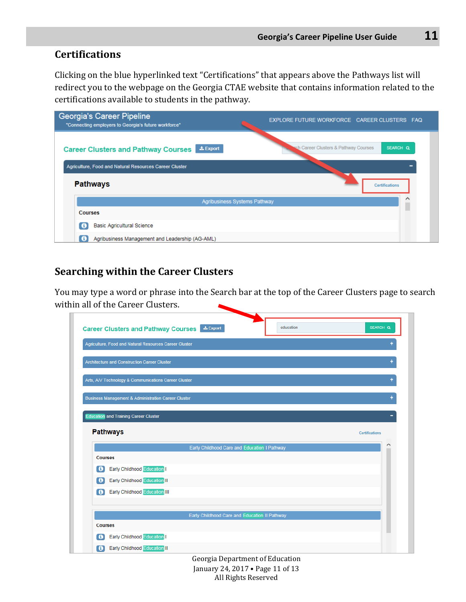#### <span id="page-10-0"></span>**Certifications**

Clicking on the blue hyperlinked text "Certifications" that appears above the Pathways list will redirect you to the webpage on the Georgia CTAE website that contains information related to the certifications available to students in the pathway.

| <b>Georgia's Career Pipeline</b><br>"Connecting employers to Georgia's future workforce" | EXPLORE FUTURE WORKFORCE CAREER CLUSTERS FAQ      |
|------------------------------------------------------------------------------------------|---------------------------------------------------|
| $\pm$ Export<br><b>Career Clusters and Pathway Courses</b>                               | sch Career Clusters & Pathway Courses<br>SEARCH Q |
| Agriculture, Food and Natural Resources Career Cluster                                   |                                                   |
| <b>Pathways</b>                                                                          | <b>Certifications</b>                             |
| Agribusiness Systems Pathway                                                             | ↗                                                 |
| <b>Courses</b>                                                                           |                                                   |
| <b>Basic Agricultural Science</b>                                                        |                                                   |
| Agribusiness Management and Leadership (AG-AML)                                          |                                                   |

#### <span id="page-10-1"></span>**Searching within the Career Clusters**

You may type a word or phrase into the Search bar at the top of the Career Clusters page to search within all of the Career Clusters.

| education<br><b>Career Clusters and Pathway Courses Export</b>  | SEARCH Q              |
|-----------------------------------------------------------------|-----------------------|
| Agriculture, Food and Natural Resources Career Cluster          |                       |
| Architecture and Construction Career Cluster                    |                       |
| Arts, A/V Technology & Communications Career Cluster            |                       |
| <b>Business Management &amp; Administration Career Cluster</b>  |                       |
| <b>Education and Training Career Cluster</b>                    |                       |
|                                                                 |                       |
|                                                                 |                       |
| <b>Pathways</b>                                                 | <b>Certifications</b> |
| Early Childhood Care and Education I Pathway                    |                       |
| <b>Courses</b>                                                  |                       |
| <b>Early Childhood Education I</b><br>$\bullet$                 |                       |
| <b>Early Childhood Education II</b><br>$\bullet$                |                       |
| <b>Early Childhood Education III</b><br>$\bullet$               |                       |
|                                                                 |                       |
|                                                                 |                       |
| Early Childhood Care and Education II Pathway<br><b>Courses</b> |                       |
| <b>Early Childhood Education</b><br>$\bullet$                   |                       |

Georgia Department of Education January 24, 2017 • Page 11 of 13 All Rights Reserved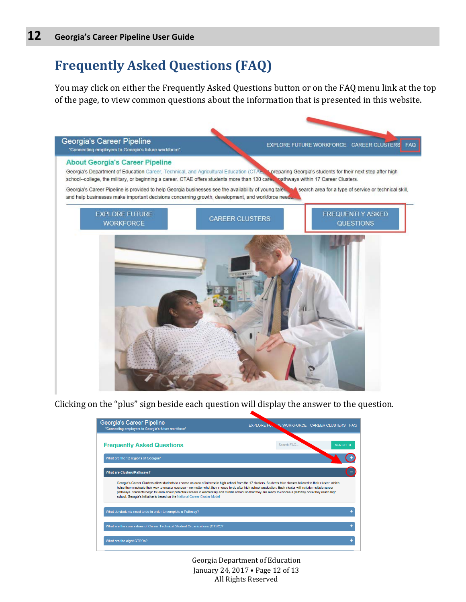# <span id="page-11-0"></span>**Frequently Asked Questions (FAQ)**

You may click on either the Frequently Asked Questions button or on the FAQ menu link at the top of the page, to view common questions about the information that is presented in this website.



Clicking on the "plus" sign beside each question will display the answer to the question.

| Georgia's Career Pipeline<br>"Connecting employers to Georgia's future workforce"                                                                                                                                                                                                                                                                                                                                                                                                                                                                                            | <b>EXPLORE FULL</b> | PE WORKFORCE CAREER CLUSTERS FAQ |               |
|------------------------------------------------------------------------------------------------------------------------------------------------------------------------------------------------------------------------------------------------------------------------------------------------------------------------------------------------------------------------------------------------------------------------------------------------------------------------------------------------------------------------------------------------------------------------------|---------------------|----------------------------------|---------------|
| <b>Frequently Asked Questions</b>                                                                                                                                                                                                                                                                                                                                                                                                                                                                                                                                            | Search FAQ.         |                                  | <b>SEARCH</b> |
| What are the 12 regions of Georgia?                                                                                                                                                                                                                                                                                                                                                                                                                                                                                                                                          |                     |                                  |               |
| What are Clusters/Pathways?                                                                                                                                                                                                                                                                                                                                                                                                                                                                                                                                                  |                     |                                  |               |
| Georgia's Career Clusters allow students to choose an area of interest in high school from the 17 clusters. Students take classes tailored to their cluster, which<br>helps them navigate their way to greater success - no matter what they choose to do after high school graduation. Each cluster will include multiple career<br>pathways. Students begin to learn about potential careers in elementary and middle school so that they are ready to choose a pathway once they reach high<br>school. Georgia's initiative is based on the National Career Cluster Model |                     |                                  |               |
| What do students need to do in order to complete a Pathway?                                                                                                                                                                                                                                                                                                                                                                                                                                                                                                                  |                     |                                  |               |
| What are the core values of Career Technical Student Organizations (CTSO)?                                                                                                                                                                                                                                                                                                                                                                                                                                                                                                   |                     |                                  |               |
| What are the eight CTSOs?                                                                                                                                                                                                                                                                                                                                                                                                                                                                                                                                                    |                     |                                  |               |

Georgia Department of Education January 24, 2017 • Page 12 of 13 All Rights Reserved